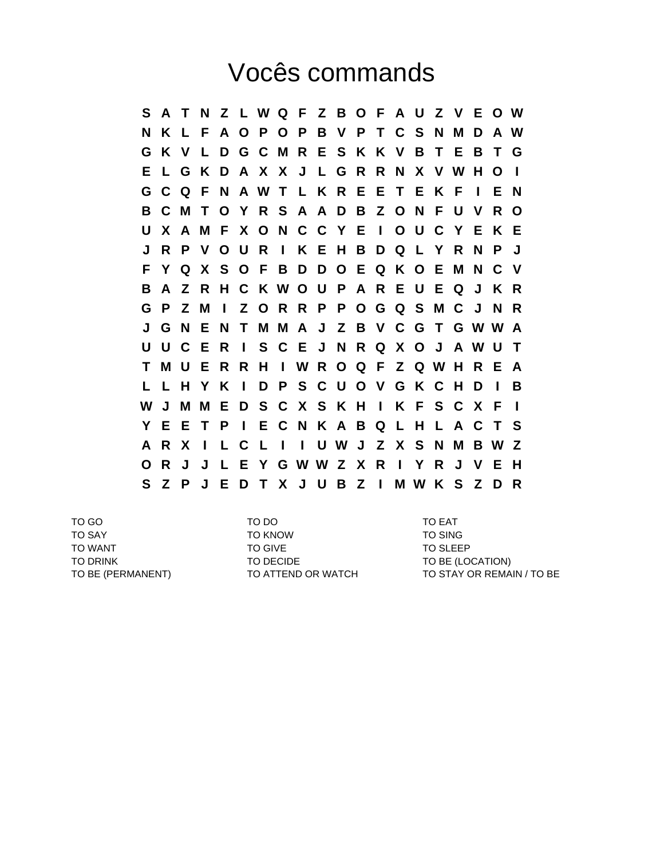## Vocês commands

**S A T N Z L W Q F Z B O F A U Z V E O W N K L F A O P O P B V P T C S N M D A W G K V L D G C M R E S K K V B T E B T G E L G K D A X X J L G R R N X V W H O I G C Q F N A W T L K R E E T E K F I E N B C M T O Y R S A A D B Z O N F U V R O U X A M F X O N C C Y E I O U C Y E K E J R P V O U R I K E H B D Q L Y R N P J F Y Q X S O F B D D O E Q K O E M N C V B A Z R H C K W O U P A R E U E Q J K R G P Z M I Z O R R P P O G Q S M C J N R J G N E N T M M A J Z B V C G T G W W A U U C E R I S C E J N R Q X O J A W U T T M U E R R H I W R O Q F Z Q W H R E A L L H Y K I D P S C U O V G K C H D I B W J M M E D S C X S K H I K F S C X F I Y E E T P I E C N K A B Q L H L A C T S A R X I L C L I I U W J Z X S N M B W Z O R J J L E Y G W W Z X R I Y R J V E H S Z P J E D T X J U B Z I M W K S Z D R**

TO GO TO DO TO EAT TO SAY TO SAY TO KNOW TO SAY TO SING TO WANT TO GIVE TO GIVE TO SLEEP TO DRINK TO DECIDE TO DECIDE TO BE (LOCATION)

TO BE (PERMANENT) TO ATTEND OR WATCH TO STAY OR REMAIN / TO BE